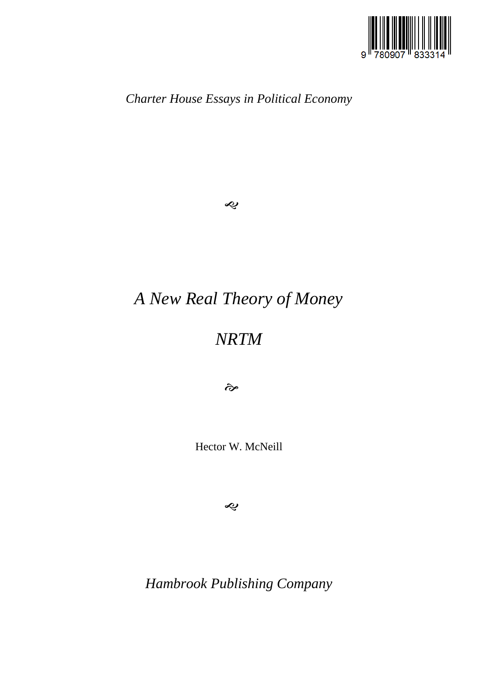

*Charter House Essays in Political Economy*

 $\hat{\mathbf{z}}$ 

# *A New Real Theory of Money*

## *NRTM*

 $\hat{\sigma}$ 

Hector W. McNeill

 $\hat{\mathbf{z}}$ 

*Hambrook Publishing Company*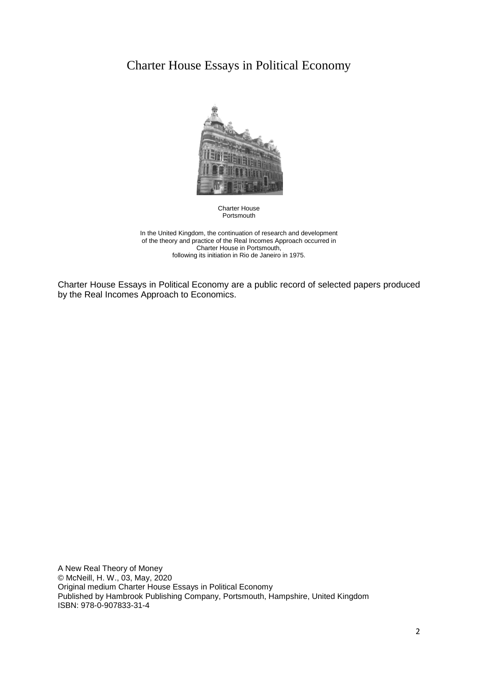## Charter House Essays in Political Economy



Charter House Portsmouth

In the United Kingdom, the continuation of research and development of the theory and practice of the Real Incomes Approach occurred in Charter House in Portsmouth, following its initiation in Rio de Janeiro in 1975.

Charter House Essays in Political Economy are a public record of selected papers produced by the Real Incomes Approach to Economics.

A New Real Theory of Money © McNeill, H. W., 03, May, 2020 Original medium Charter House Essays in Political Economy Published by Hambrook Publishing Company, Portsmouth, Hampshire, United Kingdom ISBN: 978-0-907833-31-4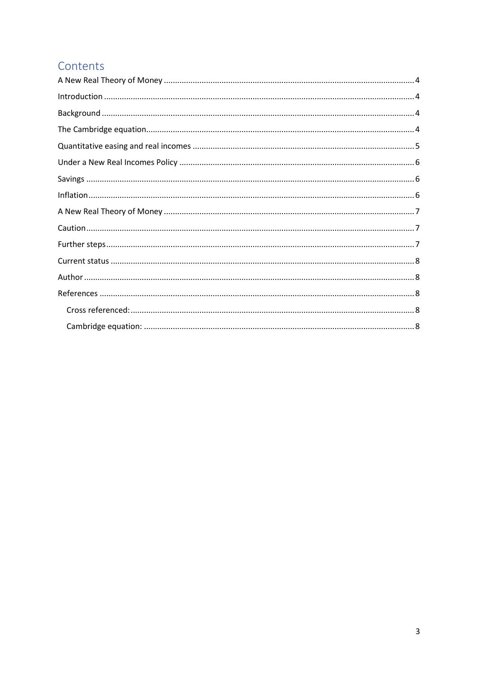## Contents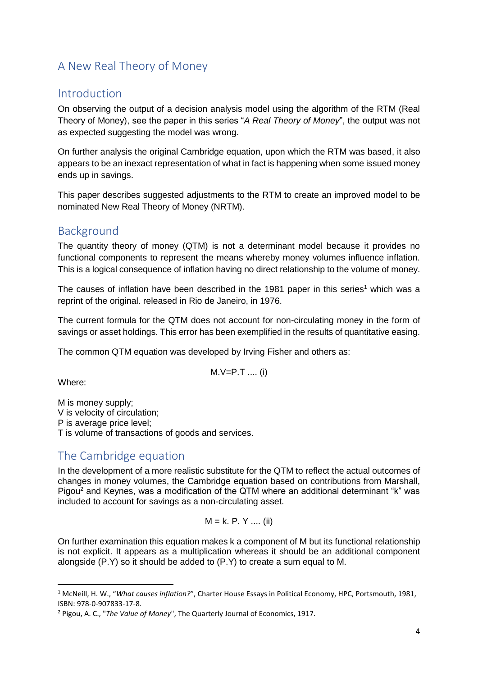## <span id="page-3-0"></span>A New Real Theory of Money

#### <span id="page-3-1"></span>Introduction

On observing the output of a decision analysis model using the algorithm of the RTM (Real Theory of Money), see the paper in this series "*A Real Theory of Money*", the output was not as expected suggesting the model was wrong.

On further analysis the original Cambridge equation, upon which the RTM was based, it also appears to be an inexact representation of what in fact is happening when some issued money ends up in savings.

This paper describes suggested adjustments to the RTM to create an improved model to be nominated New Real Theory of Money (NRTM).

### <span id="page-3-2"></span>Background

The quantity theory of money (QTM) is not a determinant model because it provides no functional components to represent the means whereby money volumes influence inflation. This is a logical consequence of inflation having no direct relationship to the volume of money.

The causes of inflation have been described in the 1981 paper in this series<sup>1</sup> which was a reprint of the original. released in Rio de Janeiro, in 1976.

The current formula for the QTM does not account for non-circulating money in the form of savings or asset holdings. This error has been exemplified in the results of quantitative easing.

The common QTM equation was developed by Irving Fisher and others as:

$$
M.V = P.T
$$
 ... (i)

Where:

**.** 

M is money supply; V is velocity of circulation; P is average price level; T is volume of transactions of goods and services.

## <span id="page-3-3"></span>The Cambridge equation

In the development of a more realistic substitute for the QTM to reflect the actual outcomes of changes in money volumes, the Cambridge equation based on contributions from Marshall, Pigou<sup>2</sup> and Keynes, was a modification of the QTM where an additional determinant "k" was included to account for savings as a non-circulating asset.

$$
M = k. P. Y ... (ii)
$$

On further examination this equation makes k a component of M but its functional relationship is not explicit. It appears as a multiplication whereas it should be an additional component alongside (P.Y) so it should be added to (P.Y) to create a sum equal to M.

<sup>1</sup> McNeill, H. W., "*What causes inflation?*", Charter House Essays in Political Economy, HPC, Portsmouth, 1981, ISBN: 978-0-907833-17-8.

<sup>2</sup> Pigou, A. C., "*The Value of Money*", The Quarterly Journal of Economics, 1917.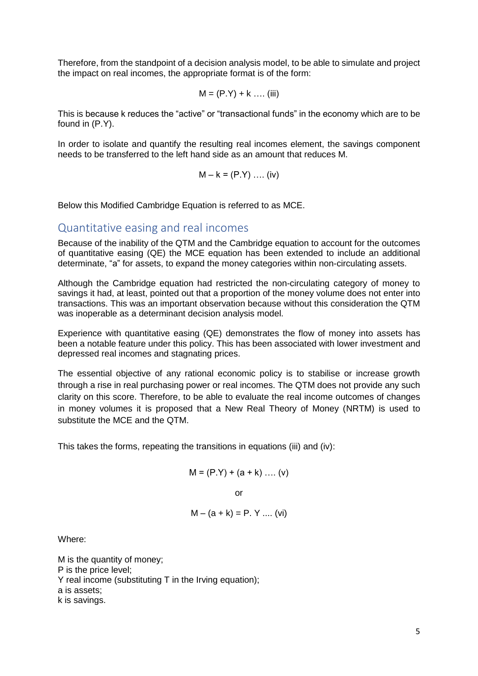Therefore, from the standpoint of a decision analysis model, to be able to simulate and project the impact on real incomes, the appropriate format is of the form:

$$
M = (P.Y) + k
$$
 .... (iii)

This is because k reduces the "active" or "transactional funds" in the economy which are to be found in (P.Y).

In order to isolate and quantify the resulting real incomes element, the savings component needs to be transferred to the left hand side as an amount that reduces M.

$$
M - k = (P.Y) \dots (iv)
$$

<span id="page-4-0"></span>Below this Modified Cambridge Equation is referred to as MCE.

#### Quantitative easing and real incomes

Because of the inability of the QTM and the Cambridge equation to account for the outcomes of quantitative easing (QE) the MCE equation has been extended to include an additional determinate, "a" for assets, to expand the money categories within non-circulating assets.

Although the Cambridge equation had restricted the non-circulating category of money to savings it had, at least, pointed out that a proportion of the money volume does not enter into transactions. This was an important observation because without this consideration the QTM was inoperable as a determinant decision analysis model.

Experience with quantitative easing (QE) demonstrates the flow of money into assets has been a notable feature under this policy. This has been associated with lower investment and depressed real incomes and stagnating prices.

The essential objective of any rational economic policy is to stabilise or increase growth through a rise in real purchasing power or real incomes. The QTM does not provide any such clarity on this score. Therefore, to be able to evaluate the real income outcomes of changes in money volumes it is proposed that a New Real Theory of Money (NRTM) is used to substitute the MCE and the QTM.

This takes the forms, repeating the transitions in equations (iii) and (iv):

$$
\mathsf{M}=(\mathsf{P}.\mathsf{Y})+(\mathsf{a}+\mathsf{k})\,\ldots\,(\mathsf{v})
$$

or

$$
M - (a + k) = P. Y ... (vi)
$$

Where:

M is the quantity of money; P is the price level; Y real income (substituting T in the Irving equation); a is assets; k is savings.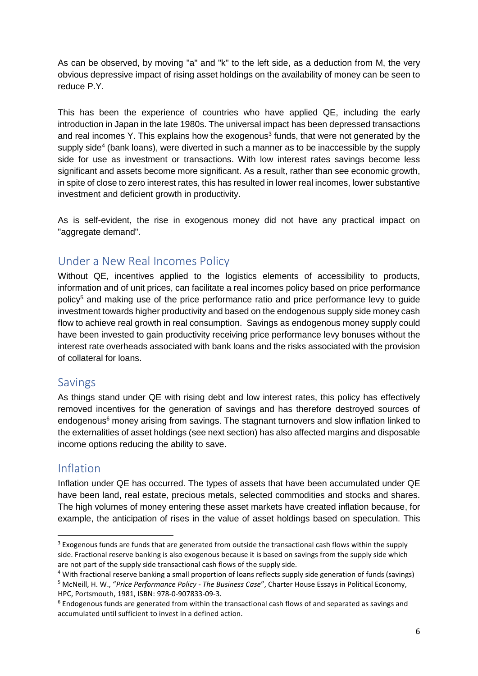As can be observed, by moving "a" and "k" to the left side, as a deduction from M, the very obvious depressive impact of rising asset holdings on the availability of money can be seen to reduce P.Y.

This has been the experience of countries who have applied QE, including the early introduction in Japan in the late 1980s. The universal impact has been depressed transactions and real incomes Y. This explains how the exogenous<sup>3</sup> funds, that were not generated by the supply side<sup>4</sup> (bank loans), were diverted in such a manner as to be inaccessible by the supply side for use as investment or transactions. With low interest rates savings become less significant and assets become more significant. As a result, rather than see economic growth, in spite of close to zero interest rates, this has resulted in lower real incomes, lower substantive investment and deficient growth in productivity.

As is self-evident, the rise in exogenous money did not have any practical impact on "aggregate demand".

## <span id="page-5-0"></span>Under a New Real Incomes Policy

Without QE, incentives applied to the logistics elements of accessibility to products, information and of unit prices, can facilitate a real incomes policy based on price performance policy<sup>5</sup> and making use of the price performance ratio and price performance levy to quide investment towards higher productivity and based on the endogenous supply side money cash flow to achieve real growth in real consumption. Savings as endogenous money supply could have been invested to gain productivity receiving price performance levy bonuses without the interest rate overheads associated with bank loans and the risks associated with the provision of collateral for loans.

#### <span id="page-5-1"></span>Savings

As things stand under QE with rising debt and low interest rates, this policy has effectively removed incentives for the generation of savings and has therefore destroyed sources of endogenous<sup>6</sup> money arising from savings. The stagnant turnovers and slow inflation linked to the externalities of asset holdings (see next section) has also affected margins and disposable income options reducing the ability to save.

### <span id="page-5-2"></span>Inflation

1

Inflation under QE has occurred. The types of assets that have been accumulated under QE have been land, real estate, precious metals, selected commodities and stocks and shares. The high volumes of money entering these asset markets have created inflation because, for example, the anticipation of rises in the value of asset holdings based on speculation. This

<sup>&</sup>lt;sup>3</sup> Exogenous funds are funds that are generated from outside the transactional cash flows within the supply side. Fractional reserve banking is also exogenous because it is based on savings from the supply side which are not part of the supply side transactional cash flows of the supply side.

<sup>4</sup> With fractional reserve banking a small proportion of loans reflects supply side generation of funds (savings)

<sup>5</sup> McNeill, H. W., "*Price Performance Policy - The Business Case*", Charter House Essays in Political Economy, HPC, Portsmouth, 1981, ISBN: 978-0-907833-09-3.

 $6$  Endogenous funds are generated from within the transactional cash flows of and separated as savings and accumulated until sufficient to invest in a defined action.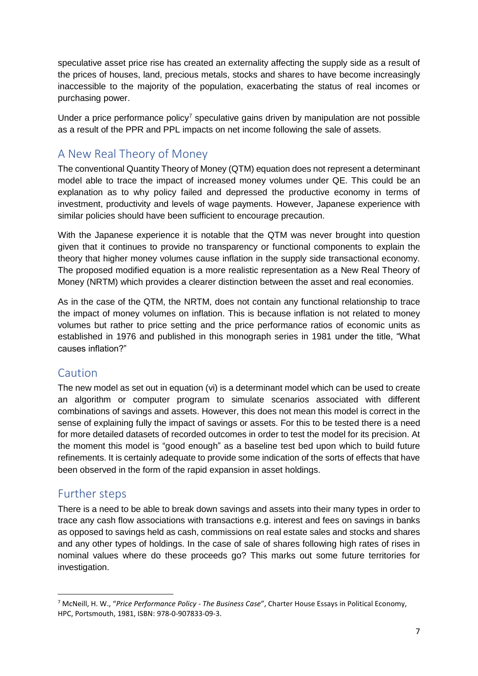speculative asset price rise has created an externality affecting the supply side as a result of the prices of houses, land, precious metals, stocks and shares to have become increasingly inaccessible to the majority of the population, exacerbating the status of real incomes or purchasing power.

Under a price performance policy<sup>7</sup> speculative gains driven by manipulation are not possible as a result of the PPR and PPL impacts on net income following the sale of assets.

## <span id="page-6-0"></span>A New Real Theory of Money

The conventional Quantity Theory of Money (QTM) equation does not represent a determinant model able to trace the impact of increased money volumes under QE. This could be an explanation as to why policy failed and depressed the productive economy in terms of investment, productivity and levels of wage payments. However, Japanese experience with similar policies should have been sufficient to encourage precaution.

With the Japanese experience it is notable that the QTM was never brought into question given that it continues to provide no transparency or functional components to explain the theory that higher money volumes cause inflation in the supply side transactional economy. The proposed modified equation is a more realistic representation as a New Real Theory of Money (NRTM) which provides a clearer distinction between the asset and real economies.

As in the case of the QTM, the NRTM, does not contain any functional relationship to trace the impact of money volumes on inflation. This is because inflation is not related to money volumes but rather to price setting and the price performance ratios of economic units as established in 1976 and published in this monograph series in 1981 under the title, "What causes inflation?"

#### <span id="page-6-1"></span>Caution

The new model as set out in equation (vi) is a determinant model which can be used to create an algorithm or computer program to simulate scenarios associated with different combinations of savings and assets. However, this does not mean this model is correct in the sense of explaining fully the impact of savings or assets. For this to be tested there is a need for more detailed datasets of recorded outcomes in order to test the model for its precision. At the moment this model is "good enough" as a baseline test bed upon which to build future refinements. It is certainly adequate to provide some indication of the sorts of effects that have been observed in the form of the rapid expansion in asset holdings.

## <span id="page-6-2"></span>Further steps

 $\overline{a}$ 

There is a need to be able to break down savings and assets into their many types in order to trace any cash flow associations with transactions e.g. interest and fees on savings in banks as opposed to savings held as cash, commissions on real estate sales and stocks and shares and any other types of holdings. In the case of sale of shares following high rates of rises in nominal values where do these proceeds go? This marks out some future territories for investigation.

<sup>7</sup> McNeill, H. W., "*Price Performance Policy - The Business Case*", Charter House Essays in Political Economy, HPC, Portsmouth, 1981, ISBN: 978-0-907833-09-3.